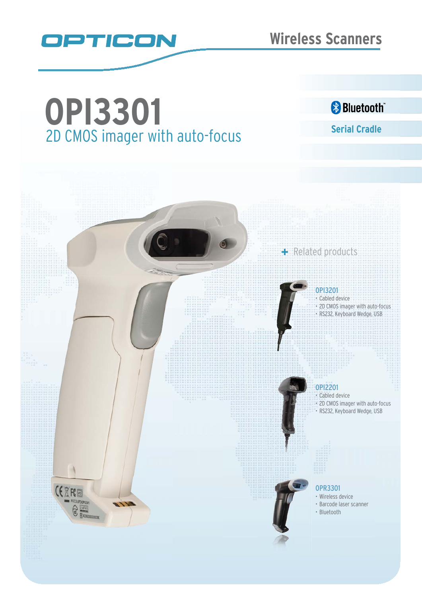

# **Serial Cradle** 2D CMOS imager with auto-focus **OPI3301**

### **&** Bluetooth

## OPI3201 Cabled device 2D CMOS imager with auto-focus RS232, Keyboard Wedge, USB

+ Related products

### OPI2201

Cabled device 2D CMOS imager with auto-focus RS232, Keyboard Wedge, USB

#### OPR3301

- Wireless device
- Barcode laser scanner
- Bluetooth